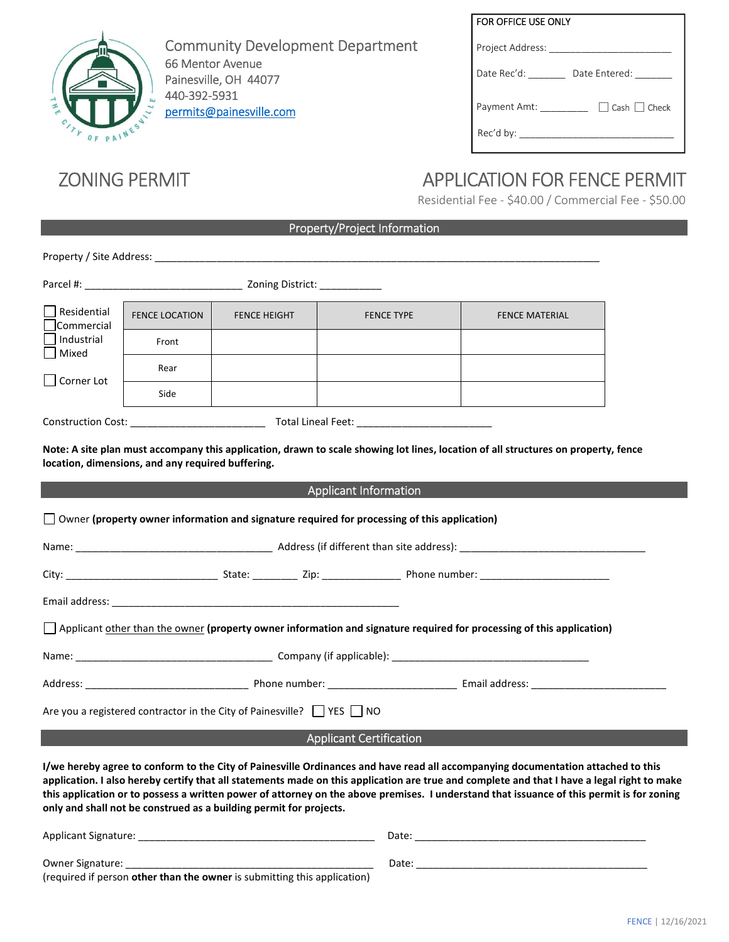

| <b>Community Development Department</b> |
|-----------------------------------------|
| 66 Mentor Avenue                        |
| Painesville, OH 44077                   |
| 440-392-5931                            |
| permits@painesville.com                 |

# FOR OFFICE USE ONLY Project Address: \_\_\_\_\_\_\_ Date Rec'd: \_\_\_\_\_\_\_\_ Date Entered: \_\_\_\_\_ Payment Amt: \_\_\_\_\_\_\_\_\_\_ □ Cash □ Check Rec'd by: \_\_\_\_\_\_\_\_\_\_\_\_\_\_\_\_\_\_\_\_\_\_\_\_\_\_\_\_\_

# ZONING PERMIT APPLICATION FOR FENCE PERMIT

Residential Fee - \$40.00 / Commercial Fee - \$50.00

## Property/Project Information

| Residential<br>Commercial                                                                                                                                                                                                                                                                                                                                                                                                                                                                          | <b>FENCE LOCATION</b> | <b>FENCE HEIGHT</b> | <b>FENCE TYPE</b>            | <b>FENCE MATERIAL</b> |  |  |
|----------------------------------------------------------------------------------------------------------------------------------------------------------------------------------------------------------------------------------------------------------------------------------------------------------------------------------------------------------------------------------------------------------------------------------------------------------------------------------------------------|-----------------------|---------------------|------------------------------|-----------------------|--|--|
| Industrial<br>   Mixed<br>Corner Lot                                                                                                                                                                                                                                                                                                                                                                                                                                                               | Front                 |                     |                              |                       |  |  |
|                                                                                                                                                                                                                                                                                                                                                                                                                                                                                                    | Rear                  |                     |                              |                       |  |  |
|                                                                                                                                                                                                                                                                                                                                                                                                                                                                                                    | Side                  |                     |                              |                       |  |  |
|                                                                                                                                                                                                                                                                                                                                                                                                                                                                                                    |                       |                     |                              |                       |  |  |
| Note: A site plan must accompany this application, drawn to scale showing lot lines, location of all structures on property, fence<br>location, dimensions, and any required buffering.                                                                                                                                                                                                                                                                                                            |                       |                     |                              |                       |  |  |
|                                                                                                                                                                                                                                                                                                                                                                                                                                                                                                    |                       |                     | <b>Applicant Information</b> |                       |  |  |
| $\Box$ Owner (property owner information and signature required for processing of this application)                                                                                                                                                                                                                                                                                                                                                                                                |                       |                     |                              |                       |  |  |
|                                                                                                                                                                                                                                                                                                                                                                                                                                                                                                    |                       |                     |                              |                       |  |  |
|                                                                                                                                                                                                                                                                                                                                                                                                                                                                                                    |                       |                     |                              |                       |  |  |
|                                                                                                                                                                                                                                                                                                                                                                                                                                                                                                    |                       |                     |                              |                       |  |  |
| Applicant other than the owner (property owner information and signature required for processing of this application)                                                                                                                                                                                                                                                                                                                                                                              |                       |                     |                              |                       |  |  |
|                                                                                                                                                                                                                                                                                                                                                                                                                                                                                                    |                       |                     |                              |                       |  |  |
|                                                                                                                                                                                                                                                                                                                                                                                                                                                                                                    |                       |                     |                              |                       |  |  |
| Are you a registered contractor in the City of Painesville? VES NO                                                                                                                                                                                                                                                                                                                                                                                                                                 |                       |                     |                              |                       |  |  |
| <b>Applicant Certification</b>                                                                                                                                                                                                                                                                                                                                                                                                                                                                     |                       |                     |                              |                       |  |  |
| I/we hereby agree to conform to the City of Painesville Ordinances and have read all accompanying documentation attached to this<br>application. I also hereby certify that all statements made on this application are true and complete and that I have a legal right to make<br>this application or to possess a written power of attorney on the above premises. I understand that issuance of this permit is for zoning<br>only and shall not be construed as a building permit for projects. |                       |                     |                              |                       |  |  |
| Applicant Signature:                                                                                                                                                                                                                                                                                                                                                                                                                                                                               |                       |                     | Date:                        |                       |  |  |

| Owner Signature:                                                                | Date |
|---------------------------------------------------------------------------------|------|
| (required if person <b>other than the owner</b> is submitting this application) |      |